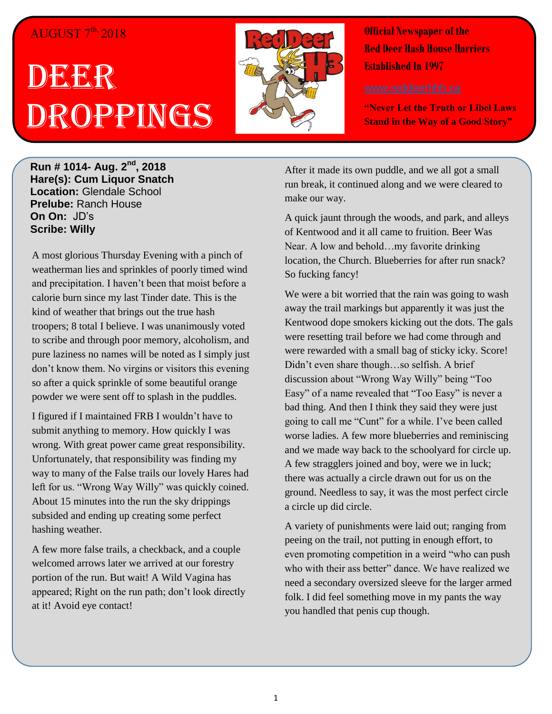### AUGUST  $7^{th}$ , 2018

# DEER Droppings



**Official Newspaper of the Red Deer Hash House Harriers Established In 1997** 

**"Never Let the Truth or Libel Laws Stand in the Way of a Good Story"**

**Run # 1014- Aug. 2nd, 2018 Hare(s): Cum Liquor Snatch Location:** Glendale School **Prelube:** Ranch House **On On:** JD's **Scribe: Willy**

A most glorious Thursday Evening with a pinch of weatherman lies and sprinkles of poorly timed wind and precipitation. I haven't been that moist before a calorie burn since my last Tinder date. This is the kind of weather that brings out the true hash troopers; 8 total I believe. I was unanimously voted to scribe and through poor memory, alcoholism, and pure laziness no names will be noted as I simply just don't know them. No virgins or visitors this evening so after a quick sprinkle of some beautiful orange powder we were sent off to splash in the puddles.

I figured if I maintained FRB I wouldn't have to submit anything to memory. How quickly I was wrong. With great power came great responsibility. Unfortunately, that responsibility was finding my way to many of the False trails our lovely Hares had left for us. "Wrong Way Willy" was quickly coined. About 15 minutes into the run the sky drippings subsided and ending up creating some perfect hashing weather.

A few more false trails, a checkback, and a couple welcomed arrows later we arrived at our forestry portion of the run. But wait! A Wild Vagina has appeared; Right on the run path; don't look directly at it! Avoid eye contact!

After it made its own puddle, and we all got a small run break, it continued along and we were cleared to make our way.

A quick jaunt through the woods, and park, and alleys of Kentwood and it all came to fruition. Beer Was Near. A low and behold…my favorite drinking location, the Church. Blueberries for after run snack? So fucking fancy!

We were a bit worried that the rain was going to wash away the trail markings but apparently it was just the Kentwood dope smokers kicking out the dots. The gals were resetting trail before we had come through and were rewarded with a small bag of sticky icky. Score! Didn't even share though…so selfish. A brief discussion about "Wrong Way Willy" being "Too Easy" of a name revealed that "Too Easy" is never a bad thing. And then I think they said they were just going to call me "Cunt" for a while. I've been called worse ladies. A few more blueberries and reminiscing and we made way back to the schoolyard for circle up. A few stragglers joined and boy, were we in luck; there was actually a circle drawn out for us on the ground. Needless to say, it was the most perfect circle a circle up did circle.

A variety of punishments were laid out; ranging from peeing on the trail, not putting in enough effort, to even promoting competition in a weird "who can push who with their ass better" dance. We have realized we need a secondary oversized sleeve for the larger armed folk. I did feel something move in my pants the way you handled that penis cup though.